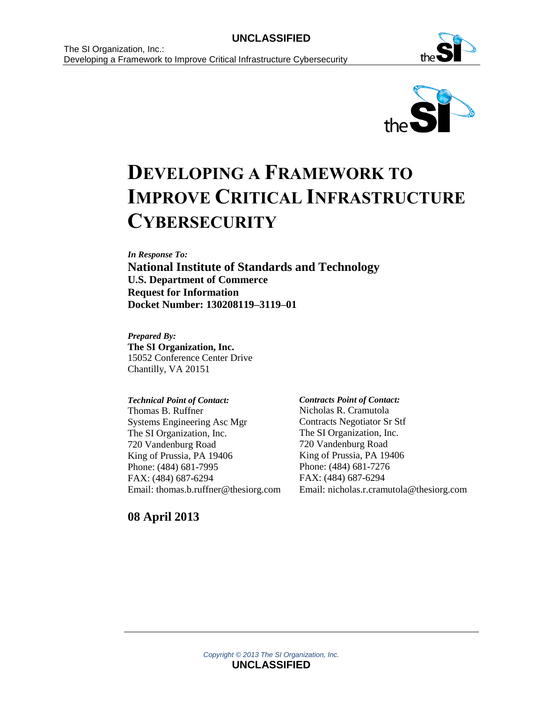



# **DEVELOPING A FRAMEWORK TO IMPROVE CRITICAL INFRASTRUCTURE CYBERSECURITY**

*In Response To:*

**National Institute of Standards and Technology U.S. Department of Commerce Request for Information Docket Number: 130208119–3119–01**

*Prepared By:* **The SI Organization, Inc.** 15052 Conference Center Drive Chantilly, VA 20151

*Technical Point of Contact:* Thomas B. Ruffner Systems Engineering Asc Mgr The SI Organization, Inc. 720 Vandenburg Road King of Prussia, PA 19406 Phone: (484) 681-7995 FAX: (484) 687-6294 Email: thomas.b.ruffner@thesiorg.com *Contracts Point of Contact:* Nicholas R. Cramutola Contracts Negotiator Sr Stf The SI Organization, Inc. 720 Vandenburg Road King of Prussia, PA 19406 Phone: (484) 681-7276 FAX: (484) 687-6294 Email: nicholas.r.cramutola@thesiorg.com

**08 April 2013**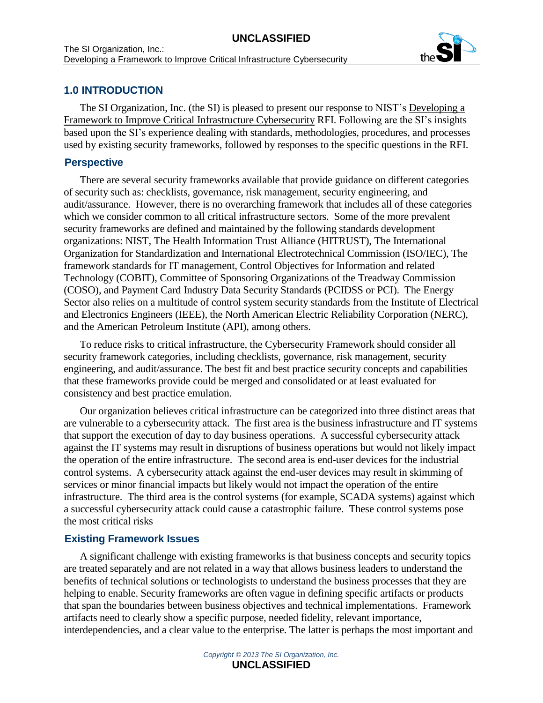

## **1.0 INTRODUCTION**

The SI Organization, Inc. (the SI) is pleased to present our response to NIST's Developing a Framework to Improve Critical Infrastructure Cybersecurity RFI. Following are the SI's insights based upon the SI's experience dealing with standards, methodologies, procedures, and processes used by existing security frameworks, followed by responses to the specific questions in the RFI.

#### **Perspective**

There are several security frameworks available that provide guidance on different categories of security such as: checklists, governance, risk management, security engineering, and audit/assurance. However, there is no overarching framework that includes all of these categories which we consider common to all critical infrastructure sectors. Some of the more prevalent security frameworks are defined and maintained by the following standards development organizations: NIST, The Health Information Trust Alliance (HITRUST), The International Organization for Standardization and International Electrotechnical Commission (ISO/IEC), The framework standards for IT management, Control Objectives for Information and related Technology (COBIT), Committee of Sponsoring Organizations of the Treadway Commission (COSO), and Payment Card Industry Data Security Standards (PCIDSS or PCI). The Energy Sector also relies on a multitude of control system security standards from the Institute of Electrical and Electronics Engineers (IEEE), the North American Electric Reliability Corporation (NERC), and the American Petroleum Institute (API), among others.

To reduce risks to critical infrastructure, the Cybersecurity Framework should consider all security framework categories, including checklists, governance, risk management, security engineering, and audit/assurance. The best fit and best practice security concepts and capabilities that these frameworks provide could be merged and consolidated or at least evaluated for consistency and best practice emulation.

Our organization believes critical infrastructure can be categorized into three distinct areas that are vulnerable to a cybersecurity attack. The first area is the business infrastructure and IT systems that support the execution of day to day business operations. A successful cybersecurity attack against the IT systems may result in disruptions of business operations but would not likely impact the operation of the entire infrastructure. The second area is end-user devices for the industrial control systems. A cybersecurity attack against the end-user devices may result in skimming of services or minor financial impacts but likely would not impact the operation of the entire infrastructure. The third area is the control systems (for example, SCADA systems) against which a successful cybersecurity attack could cause a catastrophic failure. These control systems pose the most critical risks

#### **Existing Framework Issues**

A significant challenge with existing frameworks is that business concepts and security topics are treated separately and are not related in a way that allows business leaders to understand the benefits of technical solutions or technologists to understand the business processes that they are helping to enable. Security frameworks are often vague in defining specific artifacts or products that span the boundaries between business objectives and technical implementations. Framework artifacts need to clearly show a specific purpose, needed fidelity, relevant importance, interdependencies, and a clear value to the enterprise. The latter is perhaps the most important and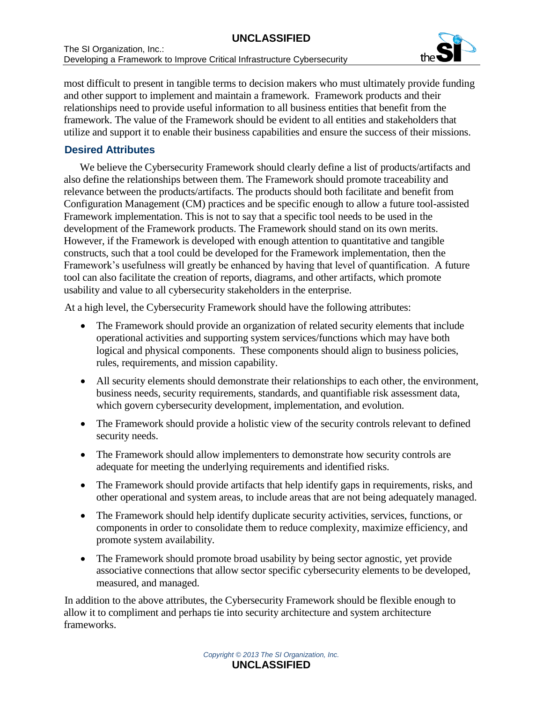# **UNCLASSIFIED**



most difficult to present in tangible terms to decision makers who must ultimately provide funding and other support to implement and maintain a framework. Framework products and their relationships need to provide useful information to all business entities that benefit from the framework. The value of the Framework should be evident to all entities and stakeholders that utilize and support it to enable their business capabilities and ensure the success of their missions.

# **Desired Attributes**

We believe the Cybersecurity Framework should clearly define a list of products/artifacts and also define the relationships between them. The Framework should promote traceability and relevance between the products/artifacts. The products should both facilitate and benefit from Configuration Management (CM) practices and be specific enough to allow a future tool-assisted Framework implementation. This is not to say that a specific tool needs to be used in the development of the Framework products. The Framework should stand on its own merits. However, if the Framework is developed with enough attention to quantitative and tangible constructs, such that a tool could be developed for the Framework implementation, then the Framework's usefulness will greatly be enhanced by having that level of quantification. A future tool can also facilitate the creation of reports, diagrams, and other artifacts, which promote usability and value to all cybersecurity stakeholders in the enterprise.

At a high level, the Cybersecurity Framework should have the following attributes:

- The Framework should provide an organization of related security elements that include operational activities and supporting system services/functions which may have both logical and physical components. These components should align to business policies, rules, requirements, and mission capability.
- All security elements should demonstrate their relationships to each other, the environment, business needs, security requirements, standards, and quantifiable risk assessment data, which govern cybersecurity development, implementation, and evolution.
- The Framework should provide a holistic view of the security controls relevant to defined security needs.
- The Framework should allow implementers to demonstrate how security controls are adequate for meeting the underlying requirements and identified risks.
- The Framework should provide artifacts that help identify gaps in requirements, risks, and other operational and system areas, to include areas that are not being adequately managed.
- The Framework should help identify duplicate security activities, services, functions, or components in order to consolidate them to reduce complexity, maximize efficiency, and promote system availability.
- The Framework should promote broad usability by being sector agnostic, yet provide associative connections that allow sector specific cybersecurity elements to be developed, measured, and managed.

In addition to the above attributes, the Cybersecurity Framework should be flexible enough to allow it to compliment and perhaps tie into security architecture and system architecture frameworks.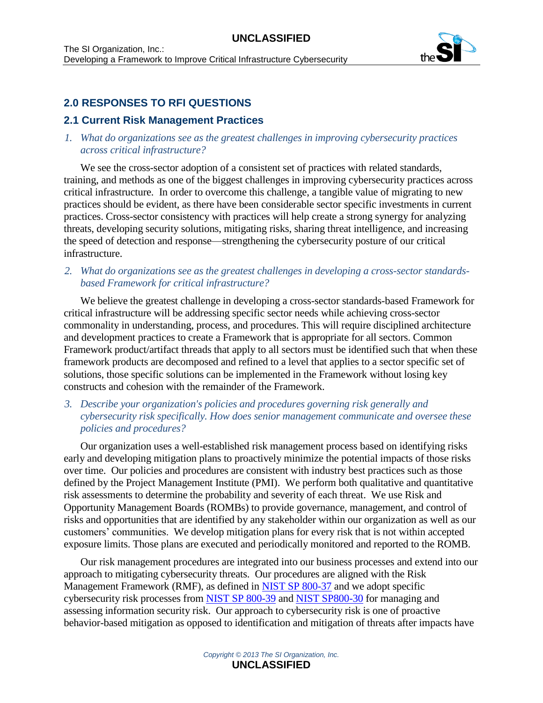

# **2.0 RESPONSES TO RFI QUESTIONS**

# **2.1 Current Risk Management Practices**

## *1. What do organizations see as the greatest challenges in improving cybersecurity practices across critical infrastructure?*

We see the cross-sector adoption of a consistent set of practices with related standards, training, and methods as one of the biggest challenges in improving cybersecurity practices across critical infrastructure. In order to overcome this challenge, a tangible value of migrating to new practices should be evident, as there have been considerable sector specific investments in current practices. Cross-sector consistency with practices will help create a strong synergy for analyzing threats, developing security solutions, mitigating risks, sharing threat intelligence, and increasing the speed of detection and response—strengthening the cybersecurity posture of our critical infrastructure.

*2. What do organizations see as the greatest challenges in developing a cross-sector standardsbased Framework for critical infrastructure?*

We believe the greatest challenge in developing a cross-sector standards-based Framework for critical infrastructure will be addressing specific sector needs while achieving cross-sector commonality in understanding, process, and procedures. This will require disciplined architecture and development practices to create a Framework that is appropriate for all sectors. Common Framework product/artifact threads that apply to all sectors must be identified such that when these framework products are decomposed and refined to a level that applies to a sector specific set of solutions, those specific solutions can be implemented in the Framework without losing key constructs and cohesion with the remainder of the Framework.

*3. Describe your organization's policies and procedures governing risk generally and cybersecurity risk specifically. How does senior management communicate and oversee these policies and procedures?*

Our organization uses a well-established risk management process based on identifying risks early and developing mitigation plans to proactively minimize the potential impacts of those risks over time. Our policies and procedures are consistent with industry best practices such as those defined by the Project Management Institute (PMI). We perform both qualitative and quantitative risk assessments to determine the probability and severity of each threat. We use Risk and Opportunity Management Boards (ROMBs) to provide governance, management, and control of risks and opportunities that are identified by any stakeholder within our organization as well as our customers' communities. We develop mitigation plans for every risk that is not within accepted exposure limits. Those plans are executed and periodically monitored and reported to the ROMB.

Our risk management procedures are integrated into our business processes and extend into our approach to mitigating cybersecurity threats. Our procedures are aligned with the Risk Management Framework (RMF), as defined in [NIST SP 800-37](http://csrc.nist.gov/publications/nistpubs/800-37-rev1/sp800-37-rev1-final.pdf) and we adopt specific cybersecurity risk processes from [NIST SP 800-39](http://csrc.nist.gov/publications/nistpubs/800-39/SP800-39-final.pdf) and [NIST SP800-30](http://csrc.nist.gov/publications/nistpubs/800-30-rev1/sp800_30_r1.pdf) for managing and assessing information security risk. Our approach to cybersecurity risk is one of proactive behavior-based mitigation as opposed to identification and mitigation of threats after impacts have

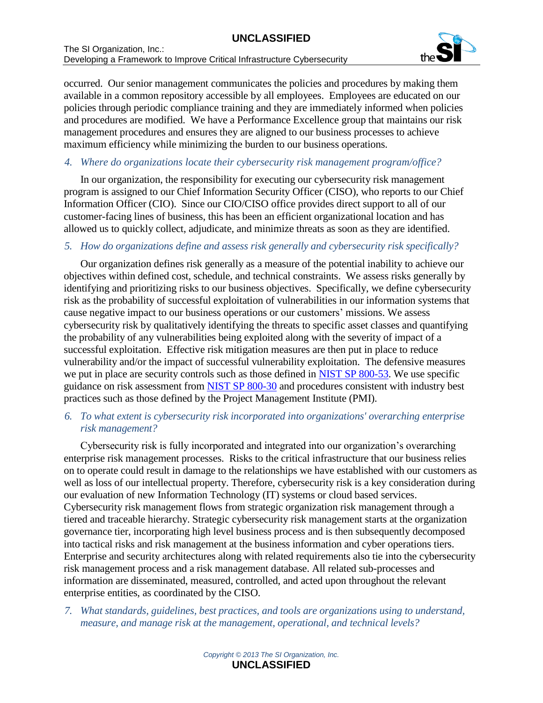

occurred. Our senior management communicates the policies and procedures by making them available in a common repository accessible by all employees. Employees are educated on our policies through periodic compliance training and they are immediately informed when policies and procedures are modified. We have a Performance Excellence group that maintains our risk management procedures and ensures they are aligned to our business processes to achieve maximum efficiency while minimizing the burden to our business operations.

#### *4. Where do organizations locate their cybersecurity risk management program/office?*

In our organization, the responsibility for executing our cybersecurity risk management program is assigned to our Chief Information Security Officer (CISO), who reports to our Chief Information Officer (CIO). Since our CIO/CISO office provides direct support to all of our customer-facing lines of business, this has been an efficient organizational location and has allowed us to quickly collect, adjudicate, and minimize threats as soon as they are identified.

#### *5. How do organizations define and assess risk generally and cybersecurity risk specifically?*

Our organization defines risk generally as a measure of the potential inability to achieve our objectives within defined cost, schedule, and technical constraints. We assess risks generally by identifying and prioritizing risks to our business objectives. Specifically, we define cybersecurity risk as the probability of successful exploitation of vulnerabilities in our information systems that cause negative impact to our business operations or our customers' missions. We assess cybersecurity risk by qualitatively identifying the threats to specific asset classes and quantifying the probability of any vulnerabilities being exploited along with the severity of impact of a successful exploitation. Effective risk mitigation measures are then put in place to reduce vulnerability and/or the impact of successful vulnerability exploitation. The defensive measures we put in place are security controls such as those defined in [NIST SP 800-53.](http://csrc.nist.gov/publications/drafts/800-53-rev4/sp800-53-rev4-ipd.pdf) We use specific guidance on risk assessment from [NIST SP 800-30](http://csrc.nist.gov/publications/nistpubs/800-30-rev1/sp800_30_r1.pdf) and procedures consistent with industry best practices such as those defined by the Project Management Institute (PMI).

## *6. To what extent is cybersecurity risk incorporated into organizations' overarching enterprise risk management?*

Cybersecurity risk is fully incorporated and integrated into our organization's overarching enterprise risk management processes. Risks to the critical infrastructure that our business relies on to operate could result in damage to the relationships we have established with our customers as well as loss of our intellectual property. Therefore, cybersecurity risk is a key consideration during our evaluation of new Information Technology (IT) systems or cloud based services. Cybersecurity risk management flows from strategic organization risk management through a tiered and traceable hierarchy. Strategic cybersecurity risk management starts at the organization governance tier, incorporating high level business process and is then subsequently decomposed into tactical risks and risk management at the business information and cyber operations tiers. Enterprise and security architectures along with related requirements also tie into the cybersecurity risk management process and a risk management database. All related sub-processes and information are disseminated, measured, controlled, and acted upon throughout the relevant enterprise entities, as coordinated by the CISO.

*7. What standards, guidelines, best practices, and tools are organizations using to understand, measure, and manage risk at the management, operational, and technical levels?*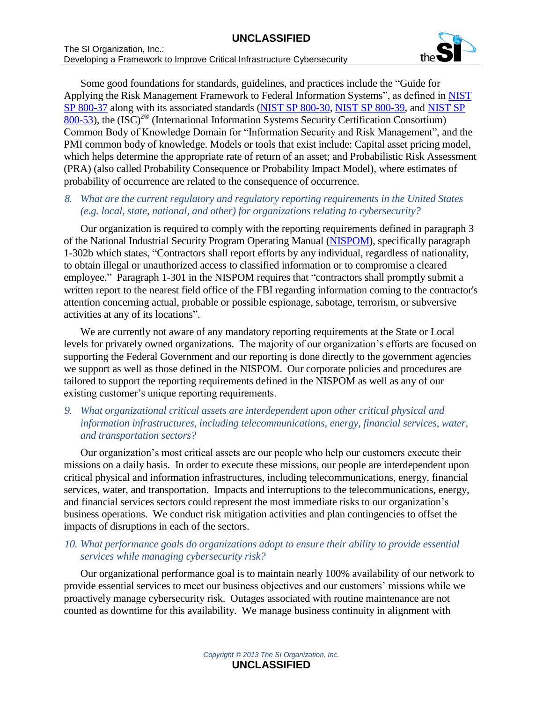

Some good foundations for standards, guidelines, and practices include the "Guide for Applying the Risk Management Framework to Federal Information Systems", as defined in [NIST](http://csrc.nist.gov/publications/nistpubs/800-37-rev1/sp800-37-rev1-final.pdf)  [SP 800-37](http://csrc.nist.gov/publications/nistpubs/800-37-rev1/sp800-37-rev1-final.pdf) along with its associated standards [\(NIST SP 800-30,](http://csrc.nist.gov/publications/nistpubs/800-30-rev1/sp800_30_r1.pdf) [NIST SP 800-39,](http://csrc.nist.gov/publications/nistpubs/800-39/SP800-39-final.pdf) and [NIST SP](http://csrc.nist.gov/publications/drafts/800-53-rev4/sp800-53-rev4-ipd.pdf)  [800-53\)](http://csrc.nist.gov/publications/drafts/800-53-rev4/sp800-53-rev4-ipd.pdf), the (ISC) 2® (International Information Systems Security Certification Consortium) Common Body of Knowledge Domain for "Information Security and Risk Management", and the PMI common body of knowledge. Models or tools that exist include: Capital asset pricing model, which helps determine the appropriate rate of return of an asset; and Probabilistic Risk Assessment (PRA) (also called Probability Consequence or Probability Impact Model), where estimates of probability of occurrence are related to the consequence of occurrence.

#### *8. What are the current regulatory and regulatory reporting requirements in the United States (e.g. local, state, national, and other) for organizations relating to cybersecurity?*

Our organization is required to comply with the reporting requirements defined in paragraph 3 of the National Industrial Security Program Operating Manual [\(NISPOM\)](http://www.dtic.mil/whs/directives/corres/pdf/522022m.pdf), specifically paragraph 1-302b which states, "Contractors shall report efforts by any individual, regardless of nationality, to obtain illegal or unauthorized access to classified information or to compromise a cleared employee." Paragraph 1-301 in the NISPOM requires that "contractors shall promptly submit a written report to the nearest field office of the FBI regarding information coming to the contractor's attention concerning actual, probable or possible espionage, sabotage, terrorism, or subversive activities at any of its locations".

We are currently not aware of any mandatory reporting requirements at the State or Local levels for privately owned organizations. The majority of our organization's efforts are focused on supporting the Federal Government and our reporting is done directly to the government agencies we support as well as those defined in the NISPOM. Our corporate policies and procedures are tailored to support the reporting requirements defined in the NISPOM as well as any of our existing customer's unique reporting requirements.

#### *9. What organizational critical assets are interdependent upon other critical physical and information infrastructures, including telecommunications, energy, financial services, water, and transportation sectors?*

Our organization's most critical assets are our people who help our customers execute their missions on a daily basis. In order to execute these missions, our people are interdependent upon critical physical and information infrastructures, including telecommunications, energy, financial services, water, and transportation. Impacts and interruptions to the telecommunications, energy, and financial services sectors could represent the most immediate risks to our organization's business operations. We conduct risk mitigation activities and plan contingencies to offset the impacts of disruptions in each of the sectors.

## *10. What performance goals do organizations adopt to ensure their ability to provide essential services while managing cybersecurity risk?*

Our organizational performance goal is to maintain nearly 100% availability of our network to provide essential services to meet our business objectives and our customers' missions while we proactively manage cybersecurity risk. Outages associated with routine maintenance are not counted as downtime for this availability. We manage business continuity in alignment with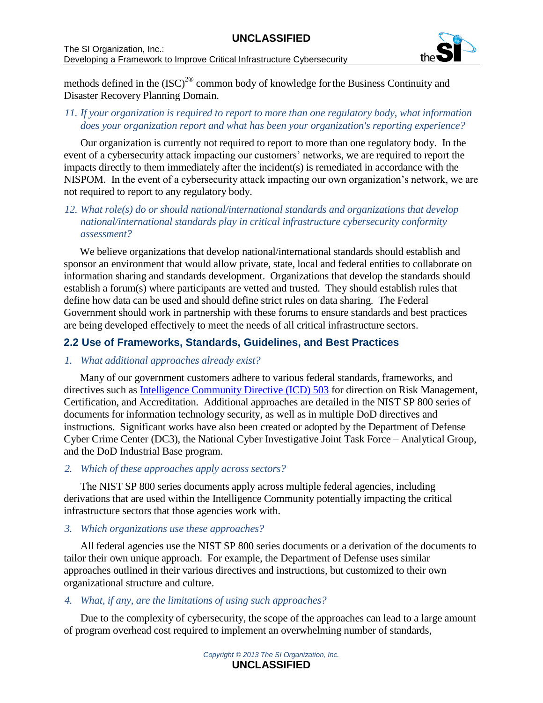

methods defined in the  ${\rm (ISC)}^{20}$  common body of knowledge for the Business Continuity and Disaster Recovery Planning Domain.

#### *11. If your organization is required to report to more than one regulatory body, what information does your organization report and what has been your organization's reporting experience?*

Our organization is currently not required to report to more than one regulatory body. In the event of a cybersecurity attack impacting our customers' networks, we are required to report the impacts directly to them immediately after the incident(s) is remediated in accordance with the NISPOM. In the event of a cybersecurity attack impacting our own organization's network, we are not required to report to any regulatory body.

#### *12. What role(s) do or should national/international standards and organizations that develop national/international standards play in critical infrastructure cybersecurity conformity assessment?*

We believe organizations that develop national/international standards should establish and sponsor an environment that would allow private, state, local and federal entities to collaborate on information sharing and standards development. Organizations that develop the standards should establish a forum(s) where participants are vetted and trusted. They should establish rules that define how data can be used and should define strict rules on data sharing. The Federal Government should work in partnership with these forums to ensure standards and best practices are being developed effectively to meet the needs of all critical infrastructure sectors.

# **2.2 Use of Frameworks, Standards, Guidelines, and Best Practices**

## *1. What additional approaches already exist?*

Many of our government customers adhere to various federal standards, frameworks, and directives such as [Intelligence Community Directive \(ICD\) 503](http://www.dni.gov/files/documents/ICD/ICD_503.pdf) for direction on Risk Management, Certification, and Accreditation. Additional approaches are detailed in the NIST SP 800 series of documents for information technology security, as well as in multiple DoD directives and instructions. Significant works have also been created or adopted by the Department of Defense Cyber Crime Center (DC3), the National Cyber Investigative Joint Task Force – Analytical Group, and the DoD Industrial Base program.

#### *2. Which of these approaches apply across sectors?*

The NIST SP 800 series documents apply across multiple federal agencies, including derivations that are used within the Intelligence Community potentially impacting the critical infrastructure sectors that those agencies work with.

## *3. Which organizations use these approaches?*

All federal agencies use the NIST SP 800 series documents or a derivation of the documents to tailor their own unique approach. For example, the Department of Defense uses similar approaches outlined in their various directives and instructions, but customized to their own organizational structure and culture.

## *4. What, if any, are the limitations of using such approaches?*

Due to the complexity of cybersecurity, the scope of the approaches can lead to a large amount of program overhead cost required to implement an overwhelming number of standards,

*Copyright © 2013 The SI Organization, Inc.*  **UNCLASSIFIED**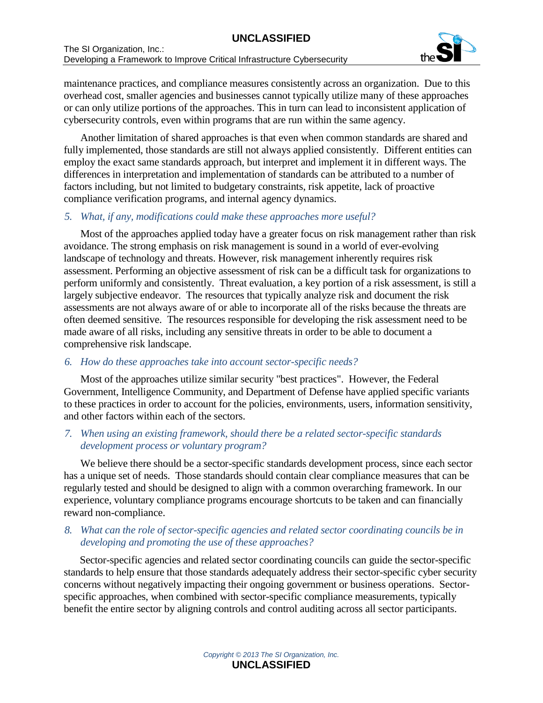

maintenance practices, and compliance measures consistently across an organization. Due to this overhead cost, smaller agencies and businesses cannot typically utilize many of these approaches or can only utilize portions of the approaches. This in turn can lead to inconsistent application of cybersecurity controls, even within programs that are run within the same agency.

Another limitation of shared approaches is that even when common standards are shared and fully implemented, those standards are still not always applied consistently. Different entities can employ the exact same standards approach, but interpret and implement it in different ways. The differences in interpretation and implementation of standards can be attributed to a number of factors including, but not limited to budgetary constraints, risk appetite, lack of proactive compliance verification programs, and internal agency dynamics.

#### *5. What, if any, modifications could make these approaches more useful?*

Most of the approaches applied today have a greater focus on risk management rather than risk avoidance. The strong emphasis on risk management is sound in a world of ever-evolving landscape of technology and threats. However, risk management inherently requires risk assessment. Performing an objective assessment of risk can be a difficult task for organizations to perform uniformly and consistently. Threat evaluation, a key portion of a risk assessment, is still a largely subjective endeavor. The resources that typically analyze risk and document the risk assessments are not always aware of or able to incorporate all of the risks because the threats are often deemed sensitive. The resources responsible for developing the risk assessment need to be made aware of all risks, including any sensitive threats in order to be able to document a comprehensive risk landscape.

## *6. How do these approaches take into account sector-specific needs?*

Most of the approaches utilize similar security "best practices". However, the Federal Government, Intelligence Community, and Department of Defense have applied specific variants to these practices in order to account for the policies, environments, users, information sensitivity, and other factors within each of the sectors.

## *7. When using an existing framework, should there be a related sector-specific standards development process or voluntary program?*

We believe there should be a sector-specific standards development process, since each sector has a unique set of needs. Those standards should contain clear compliance measures that can be regularly tested and should be designed to align with a common overarching framework. In our experience, voluntary compliance programs encourage shortcuts to be taken and can financially reward non-compliance.

## *8. What can the role of sector-specific agencies and related sector coordinating councils be in developing and promoting the use of these approaches?*

Sector-specific agencies and related sector coordinating councils can guide the sector-specific standards to help ensure that those standards adequately address their sector-specific cyber security concerns without negatively impacting their ongoing government or business operations. Sectorspecific approaches, when combined with sector-specific compliance measurements, typically benefit the entire sector by aligning controls and control auditing across all sector participants.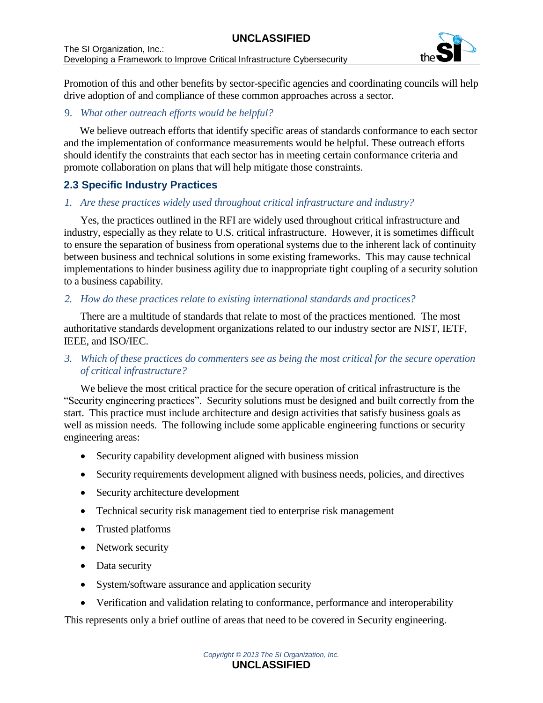

Promotion of this and other benefits by sector-specific agencies and coordinating councils will help drive adoption of and compliance of these common approaches across a sector.

# 9. *What other outreach efforts would be helpful?*

We believe outreach efforts that identify specific areas of standards conformance to each sector and the implementation of conformance measurements would be helpful. These outreach efforts should identify the constraints that each sector has in meeting certain conformance criteria and promote collaboration on plans that will help mitigate those constraints.

# **2.3 Specific Industry Practices**

## *1. Are these practices widely used throughout critical infrastructure and industry?*

Yes, the practices outlined in the RFI are widely used throughout critical infrastructure and industry, especially as they relate to U.S. critical infrastructure. However, it is sometimes difficult to ensure the separation of business from operational systems due to the inherent lack of continuity between business and technical solutions in some existing frameworks. This may cause technical implementations to hinder business agility due to inappropriate tight coupling of a security solution to a business capability.

## *2. How do these practices relate to existing international standards and practices?*

There are a multitude of standards that relate to most of the practices mentioned. The most authoritative standards development organizations related to our industry sector are NIST, IETF, IEEE, and ISO/IEC.

*3. Which of these practices do commenters see as being the most critical for the secure operation of critical infrastructure?*

We believe the most critical practice for the secure operation of critical infrastructure is the "Security engineering practices". Security solutions must be designed and built correctly from the start. This practice must include architecture and design activities that satisfy business goals as well as mission needs. The following include some applicable engineering functions or security engineering areas:

- Security capability development aligned with business mission
- Security requirements development aligned with business needs, policies, and directives
- Security architecture development
- Technical security risk management tied to enterprise risk management
- Trusted platforms
- Network security
- Data security
- System/software assurance and application security
- Verification and validation relating to conformance, performance and interoperability

This represents only a brief outline of areas that need to be covered in Security engineering.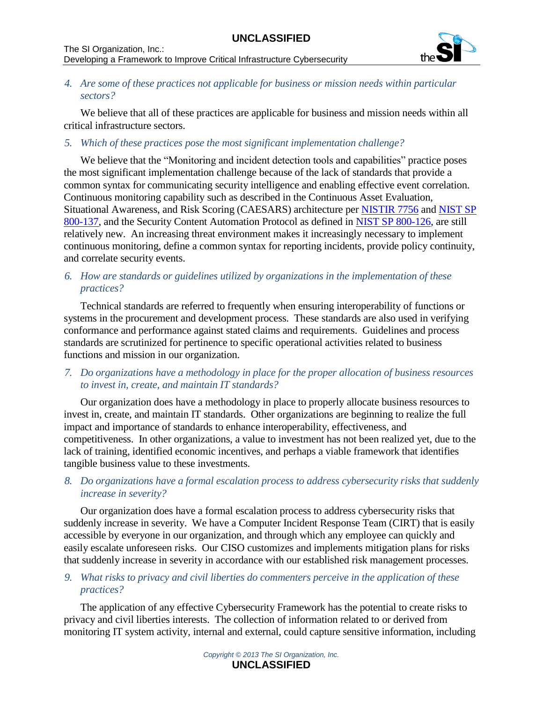

## *4. Are some of these practices not applicable for business or mission needs within particular sectors?*

We believe that all of these practices are applicable for business and mission needs within all critical infrastructure sectors.

## *5. Which of these practices pose the most significant implementation challenge?*

We believe that the "Monitoring and incident detection tools and capabilities" practice poses the most significant implementation challenge because of the lack of standards that provide a common syntax for communicating security intelligence and enabling effective event correlation. Continuous monitoring capability such as described in the Continuous Asset Evaluation, Situational Awareness, and Risk Scoring (CAESARS) architecture per [NISTIR 7756](http://csrc.nist.gov/publications/drafts/nistir-7756/Draft-NISTIR-7756_second-public-draft.pdf) and [NIST SP](http://csrc.nist.gov/publications/nistpubs/800-137/SP800-137-Final.pdf)  [800-137,](http://csrc.nist.gov/publications/nistpubs/800-137/SP800-137-Final.pdf) and the Security Content Automation Protocol as defined in [NIST SP 800-126,](http://csrc.nist.gov/publications/nistpubs/800-126-rev2/SP800-126r2.pdf) are still relatively new. An increasing threat environment makes it increasingly necessary to implement continuous monitoring, define a common syntax for reporting incidents, provide policy continuity, and correlate security events.

#### *6. How are standards or guidelines utilized by organizations in the implementation of these practices?*

Technical standards are referred to frequently when ensuring interoperability of functions or systems in the procurement and development process. These standards are also used in verifying conformance and performance against stated claims and requirements. Guidelines and process standards are scrutinized for pertinence to specific operational activities related to business functions and mission in our organization.

#### *7. Do organizations have a methodology in place for the proper allocation of business resources to invest in, create, and maintain IT standards?*

Our organization does have a methodology in place to properly allocate business resources to invest in, create, and maintain IT standards. Other organizations are beginning to realize the full impact and importance of standards to enhance interoperability, effectiveness, and competitiveness. In other organizations, a value to investment has not been realized yet, due to the lack of training, identified economic incentives, and perhaps a viable framework that identifies tangible business value to these investments.

## *8. Do organizations have a formal escalation process to address cybersecurity risks that suddenly increase in severity?*

Our organization does have a formal escalation process to address cybersecurity risks that suddenly increase in severity. We have a Computer Incident Response Team (CIRT) that is easily accessible by everyone in our organization, and through which any employee can quickly and easily escalate unforeseen risks. Our CISO customizes and implements mitigation plans for risks that suddenly increase in severity in accordance with our established risk management processes.

#### *9. What risks to privacy and civil liberties do commenters perceive in the application of these practices?*

The application of any effective Cybersecurity Framework has the potential to create risks to privacy and civil liberties interests. The collection of information related to or derived from monitoring IT system activity, internal and external, could capture sensitive information, including